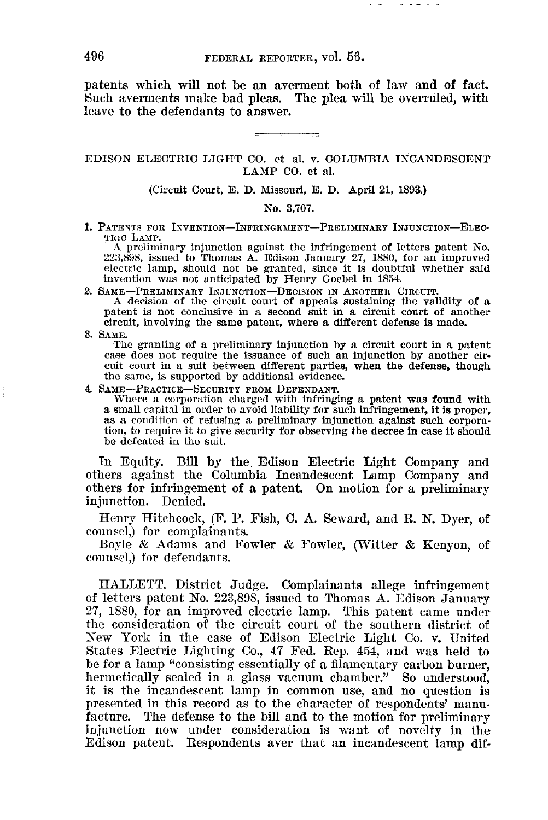patents which will not be an averment both of law and of fact. Such averments make bad pleas. The plea will be overruled, with leave to the defendants to answer.

## EDISON ELECTRIC LIGHT CO. et aI. v. COLUMBIA INCANDESCENT LAMP CO. et aI.

(Circuit Court, E. D. Missouri, E. D. April 21, 1893.)

No. 3,707.

1. PATENTS FOR INVENTION-INFRINGEMENT-PRELIMINARY INJUNCTION-ELEC-TRIC LAMP.

A preliminary injunction against the infringement of letters patent No.  $223,898$ , issued to Thomas A. Edison January 27, 1880, for an improved electric lamp, should not be granted, since it is doubtful whether said invention was not anticipated by Henry Goebel in 1854.

2. SAME-PRELIMINARY INJUNCTION-DECISION IN ANOTHER CIRCUIT. <sup>A</sup> decision of the circuit court of appeals sustaining the validity of <sup>a</sup> patent is not conclusive in <sup>a</sup> second suit in <sup>a</sup> circuit court of another circuit, involving the same patent, where a different defense is made.

3. SAME. The granting of a preliminary injunction by a circuit court in a patent The granting of <sup>a</sup> preliminary injunction by <sup>a</sup> circuit court in <sup>a</sup> patent case does not require the issuance of such an injunction by another cir· cuit court in a suit between different parties, when the defense, though the same, is supported by additional evidence.

4. SAME—PRACTICE—SECURITY FROM DEFENDANT.<br>Where a corporation charged with infringing a patent was found with<br>a small capital in order to avoid liability for such infringement, it is proper,<br>as a condition of refusing a pr as a condition of refusing a preliminary injunction against such corporation, to require it to give security for observing the decree in case it should be defeated in the suit.

In Equity. Bill by the. Edison Electric Light Company and others against the Columbia Incandescent Lamp Company and others for infringement of a patent. On motion for a preliminary injunction. Denied.

Henry Hitchcock, (F. P. Fish, C. A. Seward, and R. N. Dyer, of counsel,) for complainants.

Boyle & Adams and Fowler & Fowler, (Witter & Kenyon, of counsel,) for defendants.

HALLETT, District Judge. Complainants allege infringement of letters patent *No.* 223,898, issued to Thomas A. Edison January 27, 1880, for an improved electric lamp. This patent came under the consideration of the circuit court of the southern district of New York in the case of Edison Electric Light Co. v. United States Electric Lighting Co., 47 Fed. Rep. 454, and was held to be for a lamp "consisting essentially of a filamentary carbon burner, hermetically sealed in a glass vacuum chamber." So understood, it is the incandescent lamp in common use, and no question is presented in this record as to the character of respondents' manufacture. The defense to the bill and to the motion for preliminary injunction now under consideration is want of novelty in the Edison patent. Respondents aver that an incandescent lamp dif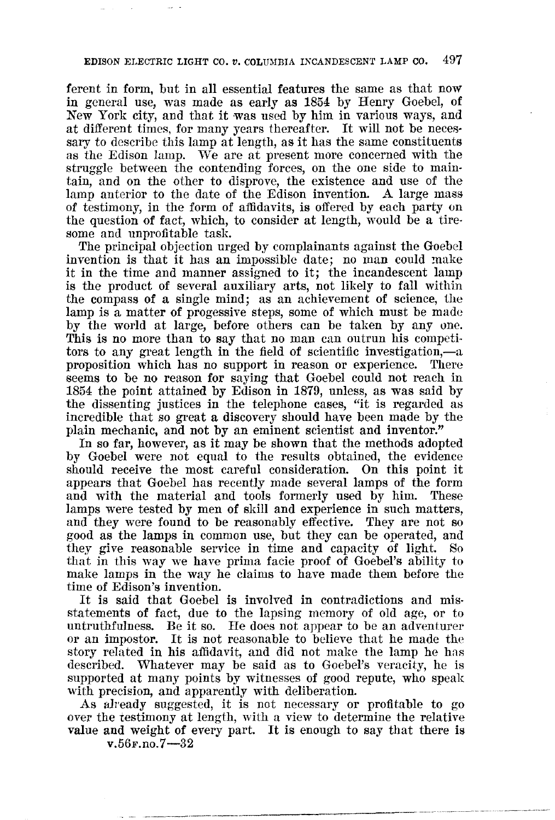ferent in form, but in all essential features the same as that now in general use, was made as early as 1854 by Henry Goebel, of New York city, and that it was used by him in various ways, and at different times, for many years thereafter. It will not be necessary to describe this lamp at length, as it has the same constituents as the Edison lamp. We are at present more concerned with the struggle between the contending forces, on the one side to maintain, and on the other to disprove, the existence and use of the lamp anterior to the date of the Edison invention. A large mass of testimony, in the form of affidavits, is offered by each party on the question of fact, which, to consider at length, would be a tiresome and unprofitable task.

The principal objection urged by complainants against the Goebel invention is that it has an impossible date; no man could make it in the time and manner assigned to it; the incandescent lamp is the product of several auxiliary arts, not likely to fall within the compass of a single mind; as an achievement of science, the lamp is a matter of progessive steps, some of which must be made by the world at large, before others can be taken by anyone. This is no more than to say that no man can outrun his competitors to any great length in the field of scientific investigation,-a proposition which has no support in reason or experience. There seems to be no reason for saying that Goebel could not reach in 1854 the point attained by Edison in 1879, unless, as was said by the dissenting justices in the telephone cases, "it is regarded as incredible that so great a discovery should have been made by the plain mechanic, and not by an eminent scientist and inventor."

In so far, however, as it may be shown that the methods adopted by Goebel were not equal to the results obtained, the evidence should receive the most careful consideration. On this point it appears that Goebel has recently made several lamps of the form and with the material and tools formerly used by him. These lamps were tested by men of skill and experience in such matters, and they were found to be reasonably effective. They are not so good as the lamps in common use, but they can be operated, and they give reasonable service in time and capacity of light. that in this way we have prima facie proof of Goebel's ability to make lamps in the way he claims to have made them before the time of Edison's invention.

It is said that Goebel is involved in contradictions and misstatements of fact, due to the lapsing memory of old age, or to untruthfulness. Be it so. He does not appear to be an adventurer or an impostor. It is not reasonable to believe that he made the story related in his affidavit, and did not make the lamp he has described. Whatever may be said as to Goebel's veracity, he is supported at many points by witnesses of good repute, who speak with precision, and apparently with deliberation.

As already suggested, it is not necessary or profitable to go over the testimony at length, with a view to determine the relative value and weight of every part. It is enough to say that there is

 $v.56$ F.no.7 $-32$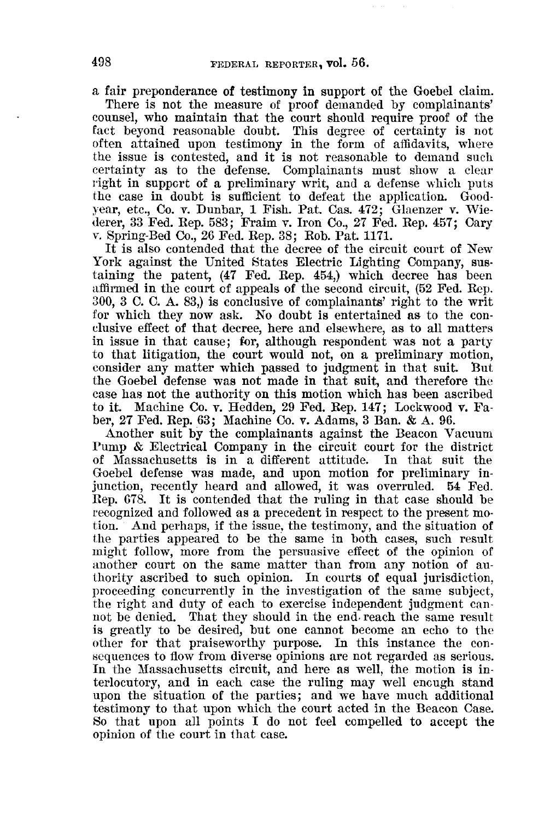a fair preponderance of testimony in support of the Goebel claim.

There is not the measure of proof demanded by complainants' counsel, who maintain that the court should require proof of the fact beyond reasonable doubt. This degree of certainty is not often attained upon testimony in the form of affidavits, where the issue is contested, and it is not reasonable to demand such certainty as to the defense. Complainants must show a clear right in support of a preliminary writ, and a defense which puts the case in doubt is sufficient to defeat the application. Goodyear, etc., Co. v. Dunbar, 1 Fish. Pat. Cas. 472; Glaenzer v. Wiederer, 33 Fed. Rep. 583; Fraim v. Iron Co., 27 Fed. Rep. 457; Cary v. Spring-Bed Co., 26 Fed. Rep. 38; Rob. Pat. 1171.

It is also contended that the decree of the circuit court of New York against the United States Electric Lighting Company, sustaining the patent, (47 Fed. Rep. 454,) which decree has been affirmed in the court of appeals of the second circuit, (52 Fed. Rep. 300, 3 C. C. A. 83,) is conclusive of complainants' right to the writ for which they now ask. No doubt is entertained as to the conclusive effect of that decree, here and elsewhere, as to all matters in issue in that cause; for, although respondent was not a party to that litigation, the court would not, on a preliminary motion, consider any matter which passed to judgment in that suit. But the Goebel defense was not made in that suit, and therefore the case has not the authority on this motion which has been ascribed to it. Machine Co. v. Hedden, 29 Fed. Rep. 147; Lockwood v. Faber, 27 Fed. Rep. 63; Machine Co. v. Adams, 3 Ban. & A. 96.

Another suit by the complainants against the Beacon Vacuum Pump & Electrical Company in the circuit court for the district of Massachusetts is in a different attitude. In that suit the of Massachusetts is in a different attitude. Goebel defense was made, and upon motion for preliminary injunction, recently heard and allowed, it was overruled. 54 Fed. Rep. 678. It is contended that the ruling in that case should be recognized and followed as a precedent in respect to the present motion. And perhaps, if the issue, the testimony, and the situation of the parties appeared to be the same in both cases, such result might follow, more from the persuasive effect of the opinion of another court on the same matter than from any notion of authority ascribed to such opinion. In courts of equal jurisdiction, proceeding concurrently in the investigation of the same subject, the right and duty of each to exercise independent judgment cannot be denied. That they should in the end. reach the same result is greatly to be desired, but one cannot become an echo to the other for that praiseworthy purpose. In this instance the consequences to flow from diverse opinions are not regarded as serious. In the Massachusetts circuit, and here as well, the motion is interlocutory, and in each case the ruling may well enough stand upon the situation of the parties; and we have much additional testimony to that upon which the court acted in the Beacon Case. So that upon all points I do not feel compelled to accept the opinion of the court in that case.